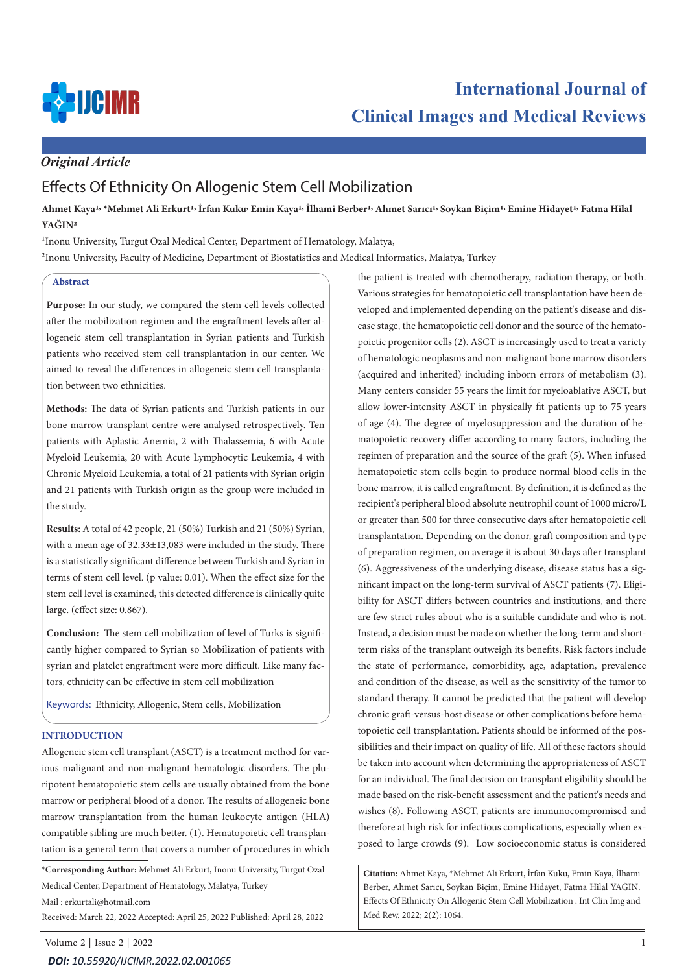

# **International Journal of Clinical Images and Medical Reviews**

# *Original Article*

# Effects Of Ethnicity On Allogenic Stem Cell Mobilization

**Ahmet Kaya1, \*Mehmet Ali Erkurt1, İrfan Kuku, Emin Kaya1, İlhami Berber1, Ahmet Sarıcı1, Soykan Biçim1, Emine Hidayet1, Fatma Hilal YAĞIN2**

<sup>1</sup>Inonu University, Turgut Ozal Medical Center, Department of Hematology, Malatya, 2Inonu University, Faculty of Medicine, Department of Biostatistics and Medical Informatics, Malatya, Turkey

# **Abstract**

**Purpose:** In our study, we compared the stem cell levels collected after the mobilization regimen and the engraftment levels after allogeneic stem cell transplantation in Syrian patients and Turkish patients who received stem cell transplantation in our center. We aimed to reveal the differences in allogeneic stem cell transplantation between two ethnicities.

**Methods:** The data of Syrian patients and Turkish patients in our bone marrow transplant centre were analysed retrospectively. Ten patients with Aplastic Anemia, 2 with Thalassemia, 6 with Acute Myeloid Leukemia, 20 with Acute Lymphocytic Leukemia, 4 with Chronic Myeloid Leukemia, a total of 21 patients with Syrian origin and 21 patients with Turkish origin as the group were included in the study.

**Results:** A total of 42 people, 21 (50%) Turkish and 21 (50%) Syrian, with a mean age of 32.33±13,083 were included in the study. There is a statistically significant difference between Turkish and Syrian in terms of stem cell level. (p value: 0.01). When the effect size for the stem cell level is examined, this detected difference is clinically quite large. (effect size: 0.867).

**Conclusion:** The stem cell mobilization of level of Turks is significantly higher compared to Syrian so Mobilization of patients with syrian and platelet engraftment were more difficult. Like many factors, ethnicity can be effective in stem cell mobilization

Keywords: Ethnicity, Allogenic, Stem cells, Mobilization

### **INTRODUCTION**

Allogeneic stem cell transplant (ASCT) is a treatment method for various malignant and non-malignant hematologic disorders. The pluripotent hematopoietic stem cells are usually obtained from the bone marrow or peripheral blood of a donor. The results of allogeneic bone marrow transplantation from the human leukocyte antigen (HLA) compatible sibling are much better. (1). Hematopoietic cell transplantation is a general term that covers a number of procedures in which

**\*Corresponding Author:** Mehmet Ali Erkurt, Inonu University, Turgut Ozal Medical Center, Department of Hematology, Malatya, Turkey

Mail : erkurtali@hotmail.com

Received: March 22, 2022 Accepted: April 25, 2022 Published: April 28, 2022

the patient is treated with chemotherapy, radiation therapy, or both. Various strategies for hematopoietic cell transplantation have been developed and implemented depending on the patient's disease and disease stage, the hematopoietic cell donor and the source of the hematopoietic progenitor cells (2). ASCT is increasingly used to treat a variety of hematologic neoplasms and non-malignant bone marrow disorders (acquired and inherited) including inborn errors of metabolism (3). Many centers consider 55 years the limit for myeloablative ASCT, but allow lower-intensity ASCT in physically fit patients up to 75 years of age (4). The degree of myelosuppression and the duration of hematopoietic recovery differ according to many factors, including the regimen of preparation and the source of the graft (5). When infused hematopoietic stem cells begin to produce normal blood cells in the bone marrow, it is called engraftment. By definition, it is defined as the recipient's peripheral blood absolute neutrophil count of 1000 micro/L or greater than 500 for three consecutive days after hematopoietic cell transplantation. Depending on the donor, graft composition and type of preparation regimen, on average it is about 30 days after transplant (6). Aggressiveness of the underlying disease, disease status has a significant impact on the long-term survival of ASCT patients (7). Eligibility for ASCT differs between countries and institutions, and there are few strict rules about who is a suitable candidate and who is not. Instead, a decision must be made on whether the long-term and shortterm risks of the transplant outweigh its benefits. Risk factors include the state of performance, comorbidity, age, adaptation, prevalence and condition of the disease, as well as the sensitivity of the tumor to standard therapy. It cannot be predicted that the patient will develop chronic graft-versus-host disease or other complications before hematopoietic cell transplantation. Patients should be informed of the possibilities and their impact on quality of life. All of these factors should be taken into account when determining the appropriateness of ASCT for an individual. The final decision on transplant eligibility should be made based on the risk-benefit assessment and the patient's needs and wishes (8). Following ASCT, patients are immunocompromised and therefore at high risk for infectious complications, especially when exposed to large crowds (9). Low socioeconomic status is considered

**Citation:** Ahmet Kaya, \*Mehmet Ali Erkurt, İrfan Kuku, Emin Kaya, İlhami Berber, Ahmet Sarıcı, Soykan Biçim, Emine Hidayet, Fatma Hilal YAĞIN. Effects Of Ethnicity On Allogenic Stem Cell Mobilization . Int Clin Img and Med Rew. 2022; 2(2): 1064.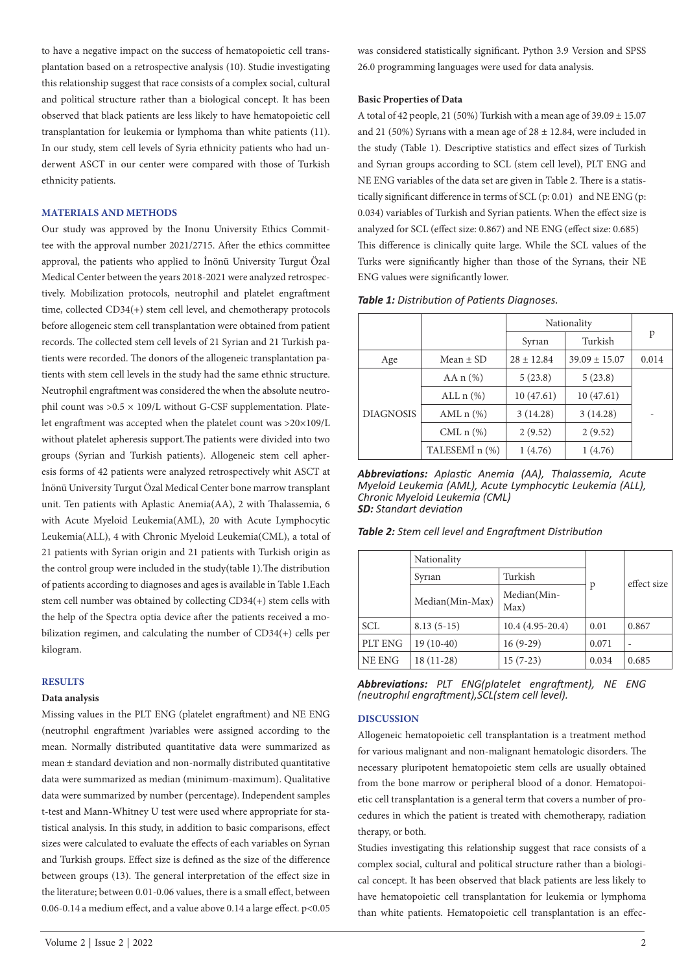to have a negative impact on the success of hematopoietic cell transplantation based on a retrospective analysis (10). Studie investigating this relationship suggest that race consists of a complex social, cultural and political structure rather than a biological concept. It has been observed that black patients are less likely to have hematopoietic cell transplantation for leukemia or lymphoma than white patients (11). In our study, stem cell levels of Syria ethnicity patients who had underwent ASCT in our center were compared with those of Turkish ethnicity patients.

#### **MATERIALS AND METHODS**

Our study was approved by the Inonu University Ethics Committee with the approval number 2021/2715. After the ethics committee approval, the patients who applied to İnönü University Turgut Özal Medical Center between the years 2018-2021 were analyzed retrospectively. Mobilization protocols, neutrophil and platelet engraftment time, collected CD34(+) stem cell level, and chemotherapy protocols before allogeneic stem cell transplantation were obtained from patient records. The collected stem cell levels of 21 Syrian and 21 Turkish patients were recorded. The donors of the allogeneic transplantation patients with stem cell levels in the study had the same ethnic structure. Neutrophil engraftment was considered the when the absolute neutrophil count was  $>0.5 \times 109$ /L without G-CSF supplementation. Platelet engraftment was accepted when the platelet count was >20×109/L without platelet apheresis support.The patients were divided into two groups (Syrian and Turkish patients). Allogeneic stem cell apheresis forms of 42 patients were analyzed retrospectively whit ASCT at İnönü University Turgut Özal Medical Center bone marrow transplant unit. Ten patients with Aplastic Anemia(AA), 2 with Thalassemia, 6 with Acute Myeloid Leukemia(AML), 20 with Acute Lymphocytic Leukemia(ALL), 4 with Chronic Myeloid Leukemia(CML), a total of 21 patients with Syrian origin and 21 patients with Turkish origin as the control group were included in the study(table 1).The distribution of patients according to diagnoses and ages is available in Table 1.Each stem cell number was obtained by collecting CD34(+) stem cells with the help of the Spectra optia device after the patients received a mobilization regimen, and calculating the number of CD34(+) cells per kilogram.

#### **RESULTS**

#### **Data analysis**

Missing values in the PLT ENG (platelet engraftment) and NE ENG (neutrophıl engraftment )variables were assigned according to the mean. Normally distributed quantitative data were summarized as mean ± standard deviation and non-normally distributed quantitative data were summarized as median (minimum-maximum). Qualitative data were summarized by number (percentage). Independent samples t-test and Mann-Whitney U test were used where appropriate for statistical analysis. In this study, in addition to basic comparisons, effect sizes were calculated to evaluate the effects of each variables on Syrıan and Turkish groups. Effect size is defined as the size of the difference between groups (13). The general interpretation of the effect size in the literature; between 0.01-0.06 values, there is a small effect, between 0.06-0.14 a medium effect, and a value above 0.14 a large effect. p<0.05

Volume 2 | Issue 2 | 2022 2

was considered statistically significant. Python 3.9 Version and SPSS 26.0 programming languages were used for data analysis.

#### **Basic Properties of Data**

A total of 42 people, 21 (50%) Turkish with a mean age of  $39.09 \pm 15.07$ and 21 (50%) Syrians with a mean age of  $28 \pm 12.84$ , were included in the study (Table 1). Descriptive statistics and effect sizes of Turkish and Syrıan groups according to SCL (stem cell level), PLT ENG and NE ENG variables of the data set are given in Table 2. There is a statistically significant difference in terms of SCL (p: 0.01) and NE ENG (p: 0.034) variables of Turkish and Syrian patients. When the effect size is analyzed for SCL (effect size: 0.867) and NE ENG (effect size: 0.685) This difference is clinically quite large. While the SCL values of the Turks were significantly higher than those of the Syrıans, their NE ENG values were significantly lower.

| Table 1: Distribution of Patients Diagnoses. |  |  |
|----------------------------------------------|--|--|
|----------------------------------------------|--|--|

|                  |                | Nationality    |                   |       |  |
|------------------|----------------|----------------|-------------------|-------|--|
|                  |                | Syrian         | Turkish           | p     |  |
| Age              | Mean $\pm$ SD  | $28 \pm 12.84$ | $39.09 \pm 15.07$ | 0.014 |  |
| <b>DIAGNOSIS</b> | AA $n$ (%)     | 5(23.8)        | 5(23.8)           |       |  |
|                  | ALL $n$ $(\%)$ | 10(47.61)      | 10(47.61)         |       |  |
|                  | AML $n$ $(\%)$ | 3(14.28)       | 3(14.28)          |       |  |
|                  | CML $n$ $(\%)$ | 2(9.52)        | 2(9.52)           |       |  |
|                  | TALESEMI n (%) | 1(4.76)        | 1(4.76)           |       |  |

*Abbreviations: Aplastic Anemia (AA), Thalassemia, Acute Myeloid Leukemia (AML), Acute Lymphocytic Leukemia (ALL), Chronic Myeloid Leukemia (CML) SD: Standart deviation*

| Table 2: Stem cell level and Engraftment Distribution |  |
|-------------------------------------------------------|--|
|-------------------------------------------------------|--|

|            | Nationality     |                     |       |             |
|------------|-----------------|---------------------|-------|-------------|
|            | Syrian          | Turkish             | p     | effect size |
|            | Median(Min-Max) | Median(Min-<br>Max) |       |             |
| <b>SCL</b> | $8.13(5-15)$    | $10.4(4.95-20.4)$   | 0.01  | 0.867       |
| PLT ENG    | $19(10-40)$     | $16(9-29)$          | 0.071 |             |
| NE ENG     | $18(11-28)$     | $15(7-23)$          | 0.034 | 0.685       |

*Abbreviations: PLT ENG(platelet engraftment), NE ENG (neutrophıl engraftment),SCL(stem cell level).*

#### **DISCUSSION**

Allogeneic hematopoietic cell transplantation is a treatment method for various malignant and non-malignant hematologic disorders. The necessary pluripotent hematopoietic stem cells are usually obtained from the bone marrow or peripheral blood of a donor. Hematopoietic cell transplantation is a general term that covers a number of procedures in which the patient is treated with chemotherapy, radiation therapy, or both.

Studies investigating this relationship suggest that race consists of a complex social, cultural and political structure rather than a biological concept. It has been observed that black patients are less likely to have hematopoietic cell transplantation for leukemia or lymphoma than white patients. Hematopoietic cell transplantation is an effec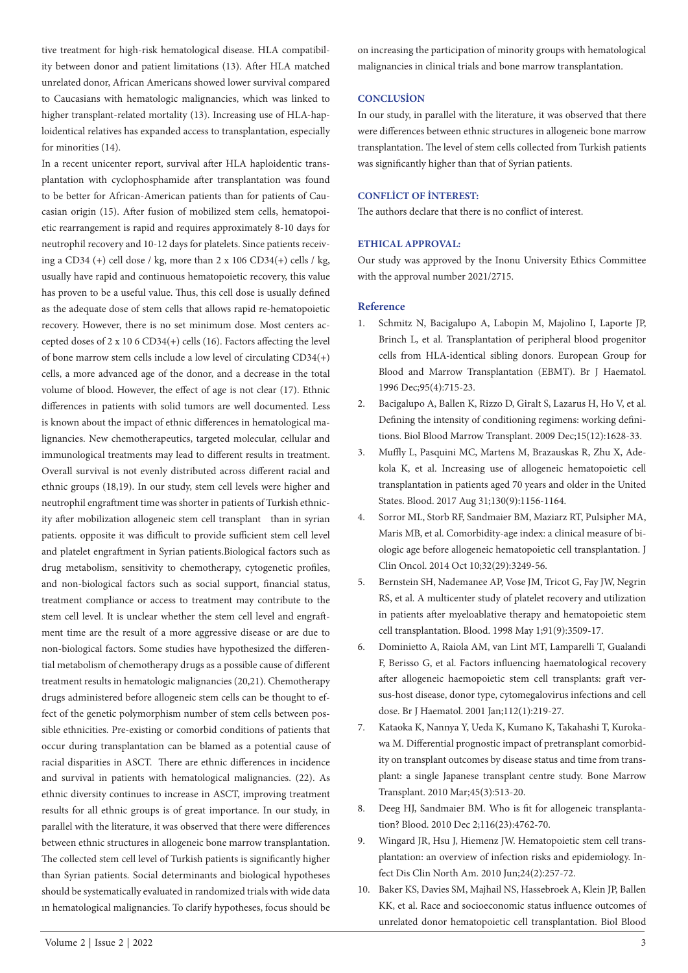tive treatment for high-risk hematological disease. HLA compatibility between donor and patient limitations (13). After HLA matched unrelated donor, African Americans showed lower survival compared to Caucasians with hematologic malignancies, which was linked to higher transplant-related mortality (13). Increasing use of HLA-haploidentical relatives has expanded access to transplantation, especially for minorities (14).

In a recent unicenter report, survival after HLA haploidentic transplantation with cyclophosphamide after transplantation was found to be better for African-American patients than for patients of Caucasian origin (15). After fusion of mobilized stem cells, hematopoietic rearrangement is rapid and requires approximately 8-10 days for neutrophil recovery and 10-12 days for platelets. Since patients receiving a CD34 (+) cell dose / kg, more than  $2 \times 106$  CD34(+) cells / kg, usually have rapid and continuous hematopoietic recovery, this value has proven to be a useful value. Thus, this cell dose is usually defined as the adequate dose of stem cells that allows rapid re-hematopoietic recovery. However, there is no set minimum dose. Most centers accepted doses of 2 x 10 6 CD34(+) cells (16). Factors affecting the level of bone marrow stem cells include a low level of circulating CD34(+) cells, a more advanced age of the donor, and a decrease in the total volume of blood. However, the effect of age is not clear (17). Ethnic differences in patients with solid tumors are well documented. Less is known about the impact of ethnic differences in hematological malignancies. New chemotherapeutics, targeted molecular, cellular and immunological treatments may lead to different results in treatment. Overall survival is not evenly distributed across different racial and ethnic groups (18,19). In our study, stem cell levels were higher and neutrophil engraftment time was shorter in patients of Turkish ethnicity after mobilization allogeneic stem cell transplant than in syrian patients. opposite it was difficult to provide sufficient stem cell level and platelet engraftment in Syrian patients.Biological factors such as drug metabolism, sensitivity to chemotherapy, cytogenetic profiles, and non-biological factors such as social support, financial status, treatment compliance or access to treatment may contribute to the stem cell level. It is unclear whether the stem cell level and engraftment time are the result of a more aggressive disease or are due to non-biological factors. Some studies have hypothesized the differential metabolism of chemotherapy drugs as a possible cause of different treatment results in hematologic malignancies (20,21). Chemotherapy drugs administered before allogeneic stem cells can be thought to effect of the genetic polymorphism number of stem cells between possible ethnicities. Pre-existing or comorbid conditions of patients that occur during transplantation can be blamed as a potential cause of racial disparities in ASCT. There are ethnic differences in incidence and survival in patients with hematological malignancies. (22). As ethnic diversity continues to increase in ASCT, improving treatment results for all ethnic groups is of great importance. In our study, in parallel with the literature, it was observed that there were differences between ethnic structures in allogeneic bone marrow transplantation. The collected stem cell level of Turkish patients is significantly higher than Syrian patients. Social determinants and biological hypotheses should be systematically evaluated in randomized trials with wide data ın hematological malignancies. To clarify hypotheses, focus should be

on increasing the participation of minority groups with hematological malignancies in clinical trials and bone marrow transplantation.

# **CONCLUSİON**

In our study, in parallel with the literature, it was observed that there were differences between ethnic structures in allogeneic bone marrow transplantation. The level of stem cells collected from Turkish patients was significantly higher than that of Syrian patients.

# **CONFLİCT OF İNTEREST:**

The authors declare that there is no conflict of interest.

#### **ETHICAL APPROVAL:**

Our study was approved by the Inonu University Ethics Committee with the approval number 2021/2715.

# **Reference**

- 1. Schmitz N, Bacigalupo A, Labopin M, Majolino I, Laporte JP, Brinch L, et al. Transplantation of peripheral blood progenitor cells from HLA-identical sibling donors. European Group for Blood and Marrow Transplantation (EBMT). Br J Haematol. 1996 Dec;95(4):715-23.
- 2. Bacigalupo A, Ballen K, Rizzo D, Giralt S, Lazarus H, Ho V, et al. Defining the intensity of conditioning regimens: working definitions. Biol Blood Marrow Transplant. 2009 Dec;15(12):1628-33.
- 3. Muffly L, Pasquini MC, Martens M, Brazauskas R, Zhu X, Adekola K, et al. Increasing use of allogeneic hematopoietic cell transplantation in patients aged 70 years and older in the United States. Blood. 2017 Aug 31;130(9):1156-1164.
- 4. Sorror ML, Storb RF, Sandmaier BM, Maziarz RT, Pulsipher MA, Maris MB, et al. Comorbidity-age index: a clinical measure of biologic age before allogeneic hematopoietic cell transplantation. J Clin Oncol. 2014 Oct 10;32(29):3249-56.
- 5. Bernstein SH, Nademanee AP, Vose JM, Tricot G, Fay JW, Negrin RS, et al. A multicenter study of platelet recovery and utilization in patients after myeloablative therapy and hematopoietic stem cell transplantation. Blood. 1998 May 1;91(9):3509-17.
- 6. Dominietto A, Raiola AM, van Lint MT, Lamparelli T, Gualandi F, Berisso G, et al. Factors influencing haematological recovery after allogeneic haemopoietic stem cell transplants: graft versus-host disease, donor type, cytomegalovirus infections and cell dose. Br J Haematol. 2001 Jan;112(1):219-27.
- 7. Kataoka K, Nannya Y, Ueda K, Kumano K, Takahashi T, Kurokawa M. Differential prognostic impact of pretransplant comorbidity on transplant outcomes by disease status and time from transplant: a single Japanese transplant centre study. Bone Marrow Transplant. 2010 Mar;45(3):513-20.
- 8. Deeg HJ, Sandmaier BM. Who is fit for allogeneic transplantation? Blood. 2010 Dec 2;116(23):4762-70.
- 9. Wingard JR, Hsu J, Hiemenz JW. Hematopoietic stem cell transplantation: an overview of infection risks and epidemiology. Infect Dis Clin North Am. 2010 Jun;24(2):257-72.
- 10. Baker KS, Davies SM, Majhail NS, Hassebroek A, Klein JP, Ballen KK, et al. Race and socioeconomic status influence outcomes of unrelated donor hematopoietic cell transplantation. Biol Blood